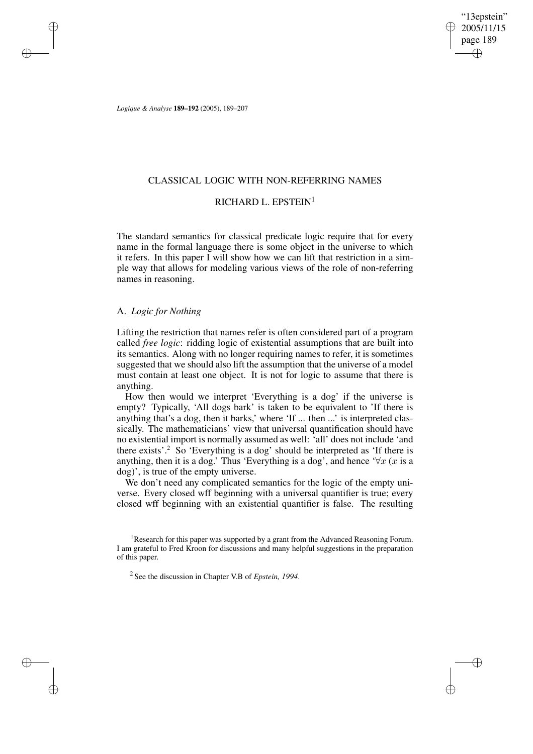"13epstein" 2005/11/15 page 189 ✐ ✐

✐

✐

*Logique & Analyse* **189–192** (2005), 189–207

✐

✐

✐

✐

## CLASSICAL LOGIC WITH NON-REFERRING NAMES

## RICHARD L. EPSTEIN<sup>1</sup>

The standard semantics for classical predicate logic require that for every name in the formal language there is some object in the universe to which it refers. In this paper I will show how we can lift that restriction in a simple way that allows for modeling various views of the role of non-referring names in reasoning.

### A. *Logic for Nothing*

Lifting the restriction that names refer is often considered part of a program called *free logic*: ridding logic of existential assumptions that are built into its semantics. Along with no longer requiring names to refer, it is sometimes suggested that we should also lift the assumption that the universe of a model must contain at least one object. It is not for logic to assume that there is anything.

How then would we interpret 'Everything is a dog' if the universe is empty? Typically, 'All dogs bark' is taken to be equivalent to 'If there is anything that's a dog, then it barks,' where 'If ... then ...' is interpreted classically. The mathematicians' view that universal quantification should have no existential import is normally assumed as well: 'all' does not include 'and there exists'.<sup>2</sup> So 'Everything is a dog' should be interpreted as 'If there is anything, then it is a dog.' Thus 'Everything is a dog', and hence ' $\forall x$  (x is a dog)', is true of the empty universe.

We don't need any complicated semantics for the logic of the empty universe. Every closed wff beginning with a universal quantifier is true; every closed wff beginning with an existential quantifier is false. The resulting

<sup>&</sup>lt;sup>1</sup>Research for this paper was supported by a grant from the Advanced Reasoning Forum. I am grateful to Fred Kroon for discussions and many helpful suggestions in the preparation of this paper.

<sup>2</sup> See the discussion in Chapter V.B of *Epstein, 1994*.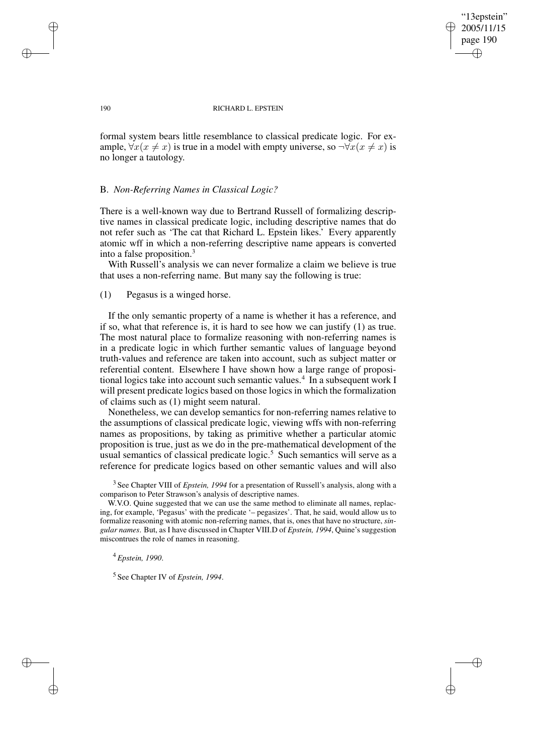"13epstein" 2005/11/15 page 190 ✐ ✐

✐

✐

#### 190 RICHARD L. EPSTEIN

formal system bears little resemblance to classical predicate logic. For example,  $\forall x(x \neq x)$  is true in a model with empty universe, so  $\neg \forall x(x \neq x)$  is no longer a tautology.

#### B. *Non-Referring Names in Classical Logic?*

There is a well-known way due to Bertrand Russell of formalizing descriptive names in classical predicate logic, including descriptive names that do not refer such as 'The cat that Richard L. Epstein likes.' Every apparently atomic wff in which a non-referring descriptive name appears is converted into a false proposition. $3$ 

With Russell's analysis we can never formalize a claim we believe is true that uses a non-referring name. But many say the following is true:

### (1) Pegasus is a winged horse.

If the only semantic property of a name is whether it has a reference, and if so, what that reference is, it is hard to see how we can justify (1) as true. The most natural place to formalize reasoning with non-referring names is in a predicate logic in which further semantic values of language beyond truth-values and reference are taken into account, such as subject matter or referential content. Elsewhere I have shown how a large range of propositional logics take into account such semantic values.<sup>4</sup> In a subsequent work I will present predicate logics based on those logics in which the formalization of claims such as (1) might seem natural.

Nonetheless, we can develop semantics for non-referring names relative to the assumptions of classical predicate logic, viewing wffs with non-referring names as propositions, by taking as primitive whether a particular atomic proposition is true, just as we do in the pre-mathematical development of the usual semantics of classical predicate logic.<sup>5</sup> Such semantics will serve as a reference for predicate logics based on other semantic values and will also

W.V.O. Quine suggested that we can use the same method to eliminate all names, replacing, for example, 'Pegasus' with the predicate '– pegasizes'. That, he said, would allow us to formalize reasoning with atomic non-referring names, that is, ones that have no structure, *singular names*. But, as I have discussed in Chapter VIII.D of *Epstein, 1994*, Quine's suggestion miscontrues the role of names in reasoning.

<sup>4</sup> *Epstein, 1990*.

5 See Chapter IV of *Epstein, 1994*.

✐

✐

✐

<sup>3</sup> See Chapter VIII of *Epstein, 1994* for a presentation of Russell's analysis, along with a comparison to Peter Strawson's analysis of descriptive names.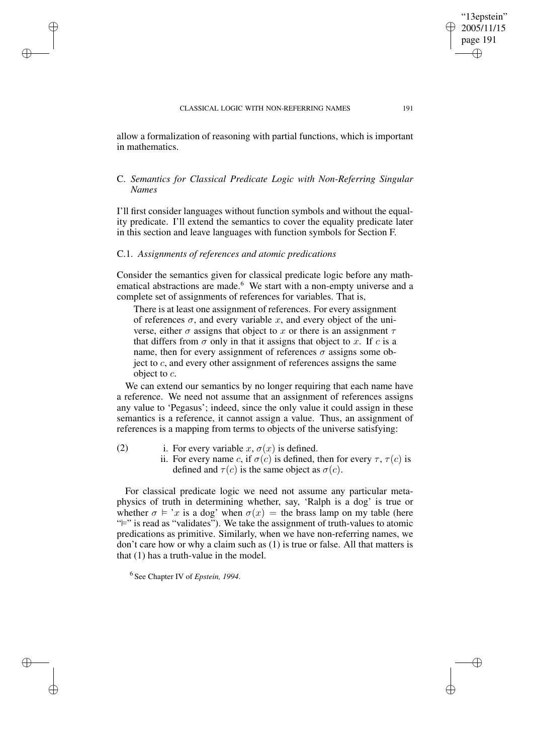allow a formalization of reasoning with partial functions, which is important in mathematics.

# C. *Semantics for Classical Predicate Logic with Non-Referring Singular Names*

I'll first consider languages without function symbols and without the equality predicate. I'll extend the semantics to cover the equality predicate later in this section and leave languages with function symbols for Section F.

# C.1. *Assignments of references and atomic predications*

✐

✐

✐

✐

Consider the semantics given for classical predicate logic before any mathematical abstractions are made.<sup>6</sup> We start with a non-empty universe and a complete set of assignments of references for variables. That is,

There is at least one assignment of references. For every assignment of references  $\sigma$ , and every variable x, and every object of the universe, either  $\sigma$  assigns that object to x or there is an assignment  $\tau$ that differs from  $\sigma$  only in that it assigns that object to x. If c is a name, then for every assignment of references  $\sigma$  assigns some object to  $c$ , and every other assignment of references assigns the same object to c.

We can extend our semantics by no longer requiring that each name have a reference. We need not assume that an assignment of references assigns any value to 'Pegasus'; indeed, since the only value it could assign in these semantics is a reference, it cannot assign a value. Thus, an assignment of references is a mapping from terms to objects of the universe satisfying:

- (2) i. For every variable  $x, \sigma(x)$  is defined.
	- ii. For every name c, if  $\sigma(c)$  is defined, then for every  $\tau$ ,  $\tau(c)$  is defined and  $\tau(c)$  is the same object as  $\sigma(c)$ .

For classical predicate logic we need not assume any particular metaphysics of truth in determining whether, say, 'Ralph is a dog' is true or whether  $\sigma \models 'x$  is a dog' when  $\sigma(x) =$  the brass lamp on my table (here "">" is read as "validates"). We take the assignment of truth-values to atomic predications as primitive. Similarly, when we have non-referring names, we don't care how or why a claim such as (1) is true or false. All that matters is that (1) has a truth-value in the model.

6 See Chapter IV of *Epstein, 1994*.

"13epstein" 2005/11/15 page 191

✐

✐

✐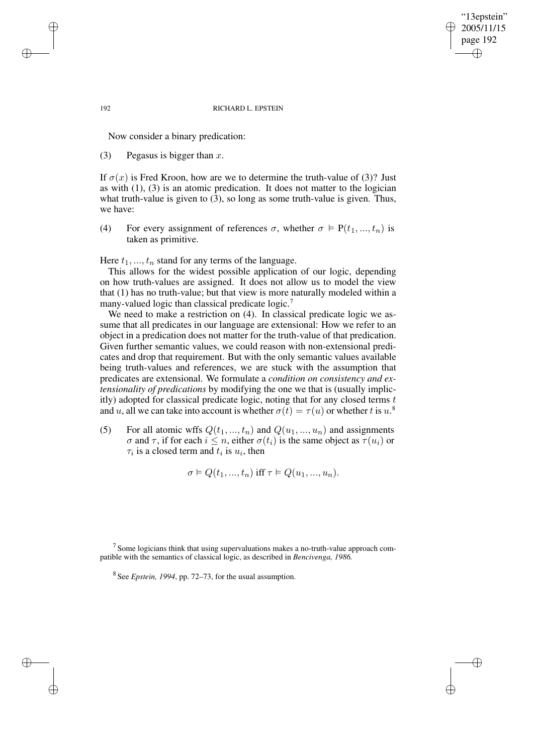"13epstein" 2005/11/15 page 192 ✐ ✐

✐

✐

#### 192 RICHARD L. EPSTEIN

Now consider a binary predication:

(3) Pegasus is bigger than x.

If  $\sigma(x)$  is Fred Kroon, how are we to determine the truth-value of (3)? Just as with (1), (3) is an atomic predication. It does not matter to the logician what truth-value is given to (3), so long as some truth-value is given. Thus, we have:

(4) For every assignment of references  $\sigma$ , whether  $\sigma \models P(t_1, ..., t_n)$  is taken as primitive.

Here  $t_1, ..., t_n$  stand for any terms of the language.

This allows for the widest possible application of our logic, depending on how truth-values are assigned. It does not allow us to model the view that (1) has no truth-value; but that view is more naturally modeled within a many-valued logic than classical predicate logic.<sup>7</sup>

We need to make a restriction on (4). In classical predicate logic we assume that all predicates in our language are extensional: How we refer to an object in a predication does not matter for the truth-value of that predication. Given further semantic values, we could reason with non-extensional predicates and drop that requirement. But with the only semantic values available being truth-values and references, we are stuck with the assumption that predicates are extensional. We formulate a *condition on consistency and extensionality of predications* by modifying the one we that is (usually implicitly) adopted for classical predicate logic, noting that for any closed terms  $t$ and u, all we can take into account is whether  $\sigma(t) = \tau(u)$  or whether t is  $u$ .<sup>8</sup>

(5) For all atomic wffs  $Q(t_1, ..., t_n)$  and  $Q(u_1, ..., u_n)$  and assignments  $\sigma$  and  $\tau$ , if for each  $i \leq n$ , either  $\sigma(t_i)$  is the same object as  $\tau(u_i)$  or  $\tau_i$  is a closed term and  $t_i$  is  $u_i$ , then

$$
\sigma \vDash Q(t_1, ..., t_n) \text{ iff } \tau \vDash Q(u_1, ..., u_n).
$$

✐

✐

✐

 $<sup>7</sup>$  Some logicians think that using supervaluations makes a no-truth-value approach com-</sup> patible with the semantics of classical logic, as described in *Bencivenga, 1986.*

<sup>8</sup> See *Epstein, 1994*, pp. 72–73, for the usual assumption.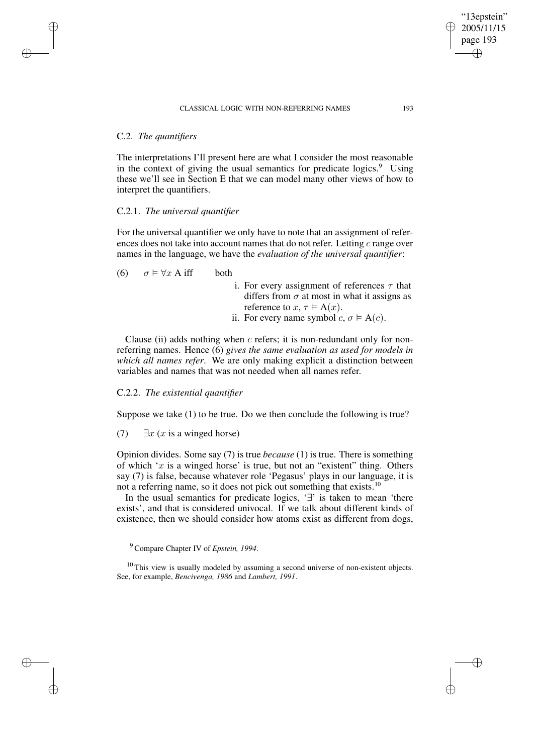#### CLASSICAL LOGIC WITH NON-REFERRING NAMES 193

### C.2. *The quantifiers*

✐

✐

✐

✐

The interpretations I'll present here are what I consider the most reasonable in the context of giving the usual semantics for predicate logics. $9$  Using these we'll see in Section E that we can model many other views of how to interpret the quantifiers.

## C.2.1. *The universal quantifier*

For the universal quantifier we only have to note that an assignment of references does not take into account names that do not refer. Letting c range over names in the language, we have the *evaluation of the universal quantifier*:

(6)  $\sigma \models \forall x \text{ A iff }$  both

- i. For every assignment of references  $\tau$  that differs from  $\sigma$  at most in what it assigns as reference to  $x, \tau \models A(x)$ .
- ii. For every name symbol  $c, \sigma \models A(c)$ .

Clause (ii) adds nothing when  $c$  refers; it is non-redundant only for nonreferring names. Hence (6) *gives the same evaluation as used for models in which all names refer*. We are only making explicit a distinction between variables and names that was not needed when all names refer.

#### C.2.2. *The existential quantifier*

Suppose we take (1) to be true. Do we then conclude the following is true?

(7)  $\exists x (x \text{ is a winged horse})$ 

Opinion divides. Some say (7) is true *because* (1) is true. There is something of which ' $x$  is a winged horse' is true, but not an "existent" thing. Others say (7) is false, because whatever role 'Pegasus' plays in our language, it is not a referring name, so it does not pick out something that exists.<sup>10</sup>

In the usual semantics for predicate logics, '∃' is taken to mean 'there exists', and that is considered univocal. If we talk about different kinds of existence, then we should consider how atoms exist as different from dogs,

 $10$  This view is usually modeled by assuming a second universe of non-existent objects. See, for example, *Bencivenga, 1986* and *Lambert, 1991*.

"13epstein" 2005/11/15 page 193

✐

✐

✐

<sup>9</sup> Compare Chapter IV of *Epstein, 1994*.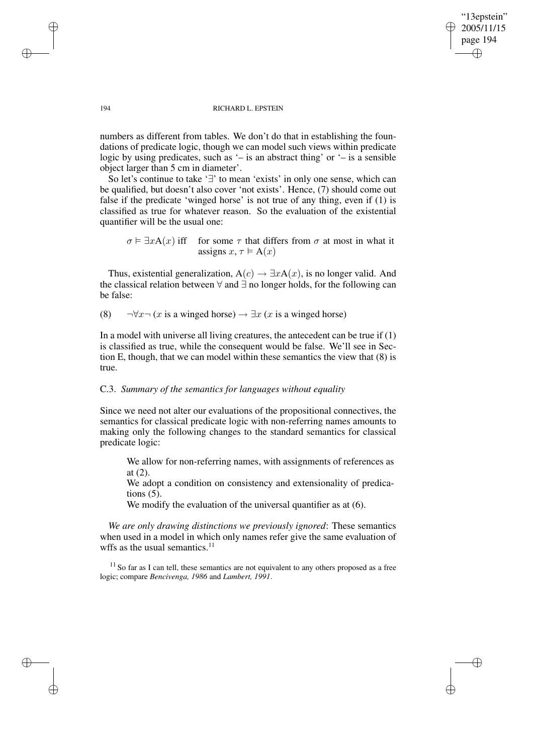"13epstein" 2005/11/15 page 194 ✐ ✐

✐

✐

#### 194 RICHARD L. EPSTEIN

numbers as different from tables. We don't do that in establishing the foundations of predicate logic, though we can model such views within predicate logic by using predicates, such as '– is an abstract thing' or '– is a sensible object larger than 5 cm in diameter'.

So let's continue to take '∃' to mean 'exists' in only one sense, which can be qualified, but doesn't also cover 'not exists'. Hence, (7) should come out false if the predicate 'winged horse' is not true of any thing, even if (1) is classified as true for whatever reason. So the evaluation of the existential quantifier will be the usual one:

 $\sigma \models \exists x A(x)$  iff for some  $\tau$  that differs from  $\sigma$  at most in what it assigns  $x, \tau \models A(x)$ 

Thus, existential generalization,  $A(c) \rightarrow \exists x A(x)$ , is no longer valid. And the classical relation between ∀ and ∃ no longer holds, for the following can be false:

(8)  $\neg \forall x \neg (x \text{ is a winged horse}) \rightarrow \exists x (x \text{ is a winged horse})$ 

In a model with universe all living creatures, the antecedent can be true if  $(1)$ is classified as true, while the consequent would be false. We'll see in Section E, though, that we can model within these semantics the view that (8) is true.

# C.3. *Summary of the semantics for languages without equality*

Since we need not alter our evaluations of the propositional connectives, the semantics for classical predicate logic with non-referring names amounts to making only the following changes to the standard semantics for classical predicate logic:

We allow for non-referring names, with assignments of references as at (2).

We adopt a condition on consistency and extensionality of predications  $(5)$ .

We modify the evaluation of the universal quantifier as at  $(6)$ .

*We are only drawing distinctions we previously ignored*: These semantics when used in a model in which only names refer give the same evaluation of wffs as the usual semantics. $11$ 

<sup>11</sup> So far as I can tell, these semantics are not equivalent to any others proposed as a free logic; compare *Bencivenga, 1986* and *Lambert, 1991*.

✐

✐

✐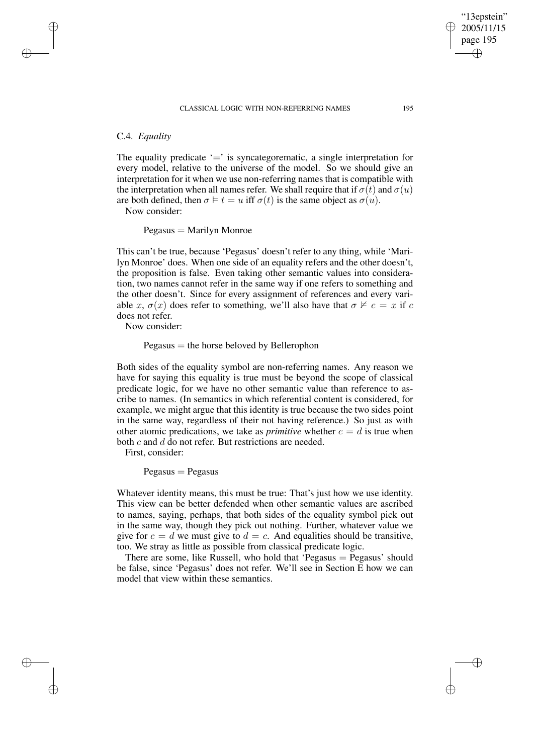# C.4. *Equality*

✐

✐

✐

✐

The equality predicate  $\equiv$  is syncategorematic, a single interpretation for every model, relative to the universe of the model. So we should give an interpretation for it when we use non-referring names that is compatible with the interpretation when all names refer. We shall require that if  $\sigma(t)$  and  $\sigma(u)$ are both defined, then  $\sigma \models t = u$  iff  $\sigma(t)$  is the same object as  $\sigma(u)$ .

Now consider:

 $Pegasus =$  Marilyn Monroe

This can't be true, because 'Pegasus' doesn't refer to any thing, while 'Marilyn Monroe' does. When one side of an equality refers and the other doesn't, the proposition is false. Even taking other semantic values into consideration, two names cannot refer in the same way if one refers to something and the other doesn't. Since for every assignment of references and every variable x,  $\sigma(x)$  does refer to something, we'll also have that  $\sigma \not\vDash c = x$  if c does not refer.

Now consider:

#### $Pegasus =$  the horse beloved by Bellerophon

Both sides of the equality symbol are non-referring names. Any reason we have for saying this equality is true must be beyond the scope of classical predicate logic, for we have no other semantic value than reference to ascribe to names. (In semantics in which referential content is considered, for example, we might argue that this identity is true because the two sides point in the same way, regardless of their not having reference.) So just as with other atomic predications, we take as *primitive* whether  $c = d$  is true when both  $c$  and  $d$  do not refer. But restrictions are needed.

First, consider:

 $Pegasus = Pegasus$ 

Whatever identity means, this must be true: That's just how we use identity. This view can be better defended when other semantic values are ascribed to names, saying, perhaps, that both sides of the equality symbol pick out in the same way, though they pick out nothing. Further, whatever value we give for  $c = d$  we must give to  $d = c$ . And equalities should be transitive, too. We stray as little as possible from classical predicate logic.

There are some, like Russell, who hold that 'Pegasus  $=$  Pegasus' should be false, since 'Pegasus' does not refer. We'll see in Section E how we can model that view within these semantics.

"13epstein" 2005/11/15 page 195

✐

✐

✐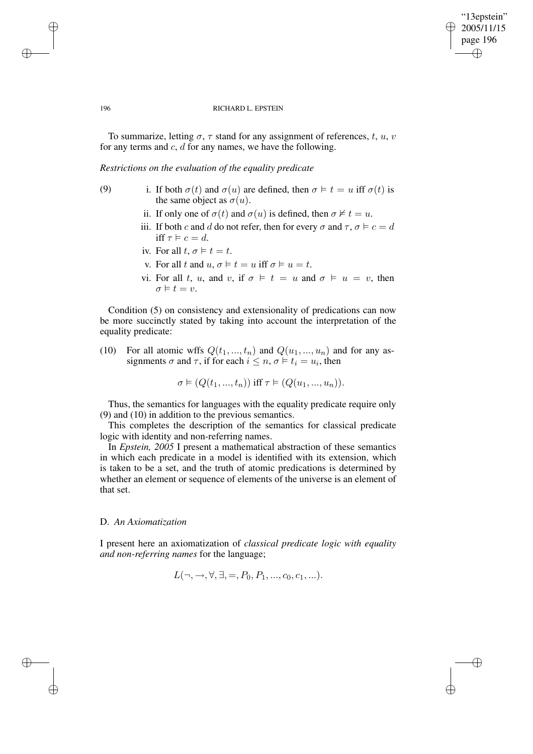### "13epstein" 2005/11/15 page 196 ✐ ✐

✐

✐

#### 196 RICHARD L. EPSTEIN

To summarize, letting  $\sigma$ ,  $\tau$  stand for any assignment of references, t, u, v for any terms and  $c$ ,  $d$  for any names, we have the following.

*Restrictions on the evaluation of the equality predicate*

- (9) i. If both  $\sigma(t)$  and  $\sigma(u)$  are defined, then  $\sigma \models t = u$  iff  $\sigma(t)$  is the same object as  $\sigma(u)$ .
	- ii. If only one of  $\sigma(t)$  and  $\sigma(u)$  is defined, then  $\sigma \not\models t = u$ .
	- iii. If both c and d do not refer, then for every  $\sigma$  and  $\tau$ ,  $\sigma \models c = d$ iff  $\tau \models c = d$ .
	- iv. For all  $t, \sigma \models t = t$ .
	- v. For all t and  $u, \sigma \models t = u$  iff  $\sigma \models u = t$ .
	- vi. For all t, u, and v, if  $\sigma \models t = u$  and  $\sigma \models u = v$ , then  $\sigma \vDash t = v.$

Condition (5) on consistency and extensionality of predications can now be more succinctly stated by taking into account the interpretation of the equality predicate:

(10) For all atomic wffs  $Q(t_1, ..., t_n)$  and  $Q(u_1, ..., u_n)$  and for any assignments  $\sigma$  and  $\tau$ , if for each  $i \leq n$ ,  $\sigma \models t_i = u_i$ , then

 $\sigma \models (Q(t_1, ..., t_n))$  iff  $\tau \models (Q(u_1, ..., u_n)).$ 

Thus, the semantics for languages with the equality predicate require only (9) and (10) in addition to the previous semantics.

This completes the description of the semantics for classical predicate logic with identity and non-referring names.

In *Epstein, 2005* I present a mathematical abstraction of these semantics in which each predicate in a model is identified with its extension, which is taken to be a set, and the truth of atomic predications is determined by whether an element or sequence of elements of the universe is an element of that set.

## D. *An Axiomatization*

I present here an axiomatization of *classical predicate logic with equality and non-referring names* for the language;

$$
L(\neg, \to, \forall, \exists, =, P_0, P_1, ..., c_0, c_1, ...).
$$

✐

✐

✐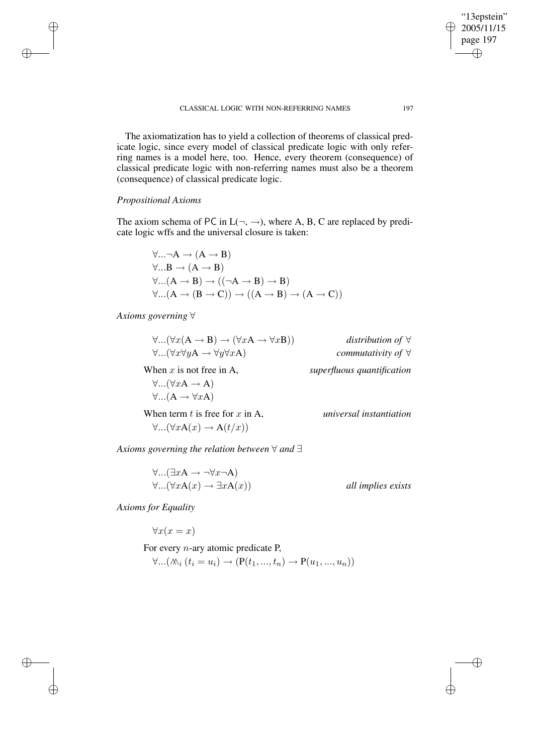The axiomatization has to yield a collection of theorems of classical predicate logic, since every model of classical predicate logic with only referring names is a model here, too. Hence, every theorem (consequence) of classical predicate logic with non-referring names must also be a theorem (consequence) of classical predicate logic.

## *Propositional Axioms*

✐

✐

✐

✐

The axiom schema of PC in  $L(\neg, \rightarrow)$ , where A, B, C are replaced by predicate logic wffs and the universal closure is taken:

$$
\forall ... \neg A \rightarrow (A \rightarrow B)
$$
  
\n
$$
\forall ... B \rightarrow (A \rightarrow B)
$$
  
\n
$$
\forall ... (A \rightarrow B) \rightarrow ((\neg A \rightarrow B) \rightarrow B)
$$
  
\n
$$
\forall ... (A \rightarrow (B \rightarrow C)) \rightarrow ((A \rightarrow B) \rightarrow (A \rightarrow C))
$$

*Axioms governing* ∀

| $\forall$ ( $\forall x(A \rightarrow B) \rightarrow (\forall xA \rightarrow \forall xB)$ )                       | distribution of $\forall$         |
|------------------------------------------------------------------------------------------------------------------|-----------------------------------|
| $\forall$ $(\forall x \forall y A \rightarrow \forall y \forall x A)$                                            | <i>commutativity of</i> $\forall$ |
| When $x$ is not free in A,<br>$\forall$ ( $\forall xA \rightarrow A$ )<br>$\forall$ $(A \rightarrow \forall xA)$ | superfluous quantification        |
| When term $t$ is free for $x$ in A,<br>$\forall$ $(\forall x A(x) \rightarrow A(t/x))$                           | universal instantiation           |

*Axioms governing the relation between* ∀ *and* ∃

$$
\forall ... (\exists x A \rightarrow \neg \forall x \neg A)
$$
  

$$
\forall ... (\forall x A(x) \rightarrow \exists x A(x))
$$
 all implies exists

*Axioms for Equality*

 $\forall x(x=x)$ 

For every  $n$ -ary atomic predicate P,  $\forall ... (\mathcal{N}_i (t_i = u_i) \rightarrow (P(t_1, ..., t_n) \rightarrow P(u_1, ..., u_n))$ 

"13epstein"  $\geq 2005/11/15$ page 197

✐

 $\bigoplus$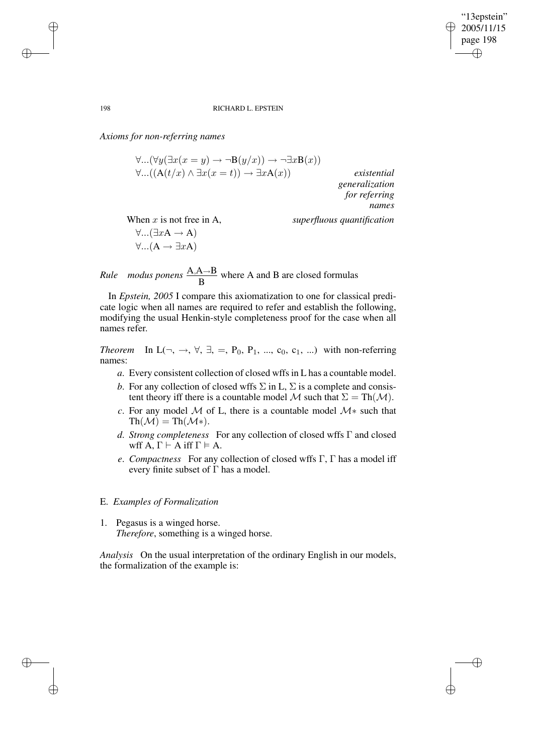✐

✐

#### 198 RICHARD L. EPSTEIN

*Axioms for non-referring names*

 $\forall$ ...( $\forall y(\exists x(x=y) \rightarrow \neg B(y/x)) \rightarrow \neg \exists x B(x))$  $\forall$ ...((A(t/x) ∧ ∃x(x = t)) → ∃xA(x)) *existential generalization for referring names* When x is not free in A, *superfluous quantification*  $\forall$ ...( $\exists x A \rightarrow A$ )  $\forall$ ... $(A \rightarrow \exists x A)$ 

*Rule modus ponens* A,A→B B where A and B are closed formulas

In *Epstein, 2005* I compare this axiomatization to one for classical predicate logic when all names are required to refer and establish the following, modifying the usual Henkin-style completeness proof for the case when all names refer.

*Theorem* In  $L(\neg, \rightarrow, \forall, \exists, =, P_0, P_1, ..., c_0, c_1, ...)$  with non-referring names:

- *a*. Every consistent collection of closed wffsin L has a countable model.
- *b*. For any collection of closed wffs  $\Sigma$  in L,  $\Sigma$  is a complete and consistent theory iff there is a countable model M such that  $\Sigma = \text{Th}(\mathcal{M})$ .
- *c*. For any model  $M$  of L, there is a countable model  $M*$  such that  $\text{Th}(\mathcal{M}) = \text{Th}(\mathcal{M}^*)$ .
- *d*. *Strong completeness* For any collection of closed wffs Γ and closed wff  $A, \Gamma \vdash A$  iff  $\Gamma \vDash A$ .
- *e*. *Compactness* For any collection of closed wffs Γ, Γ has a model iff every finite subset of  $\Gamma$  has a model.

#### E. *Examples of Formalization*

1. Pegasus is a winged horse. *Therefore*, something is a winged horse.

*Analysis* On the usual interpretation of the ordinary English in our models, the formalization of the example is:

✐

✐

✐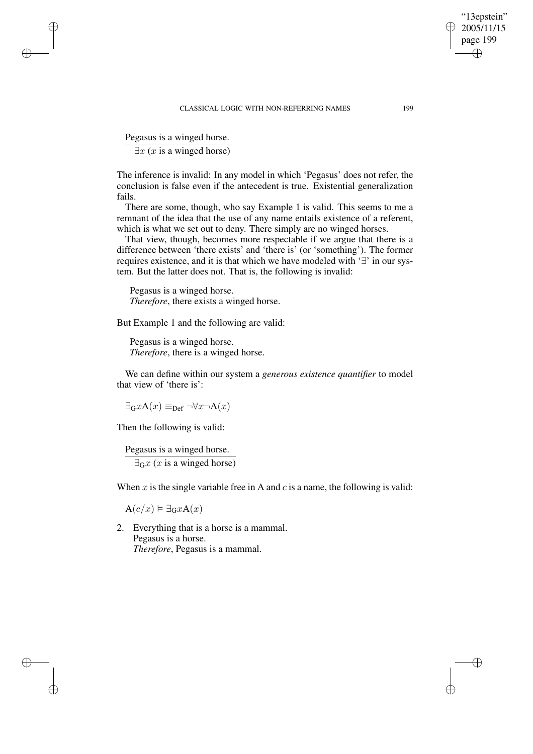#### CLASSICAL LOGIC WITH NON-REFERRING NAMES 199

Pegasus is a winged horse.

✐

✐

✐

✐

 $\exists x \ (x \text{ is a winged horse})$ 

The inference is invalid: In any model in which 'Pegasus' does not refer, the conclusion is false even if the antecedent is true. Existential generalization fails.

There are some, though, who say Example 1 is valid. This seems to me a remnant of the idea that the use of any name entails existence of a referent, which is what we set out to deny. There simply are no winged horses.

That view, though, becomes more respectable if we argue that there is a difference between 'there exists' and 'there is' (or 'something'). The former requires existence, and it is that which we have modeled with '∃' in our system. But the latter does not. That is, the following is invalid:

Pegasus is a winged horse. *Therefore*, there exists a winged horse.

But Example 1 and the following are valid:

Pegasus is a winged horse. *Therefore*, there is a winged horse.

We can define within our system a *generous existence quantifier* to model that view of 'there is':

 $\exists_{\mathbf{G}} x \mathbf{A}(x) \equiv_{\mathbf{Def}} \neg \forall x \neg \mathbf{A}(x)$ 

Then the following is valid:

Pegasus is a winged horse.  $\exists_{\mathbf{G}} x$  (*x* is a winged horse)

When  $x$  is the single variable free in A and  $c$  is a name, the following is valid:

 $A(c/x) \vDash \exists_G x A(x)$ 

2. Everything that is a horse is a mammal. Pegasus is a horse. *Therefore*, Pegasus is a mammal.

"13epstein" 2005/11/15 page 199

✐

✐

✐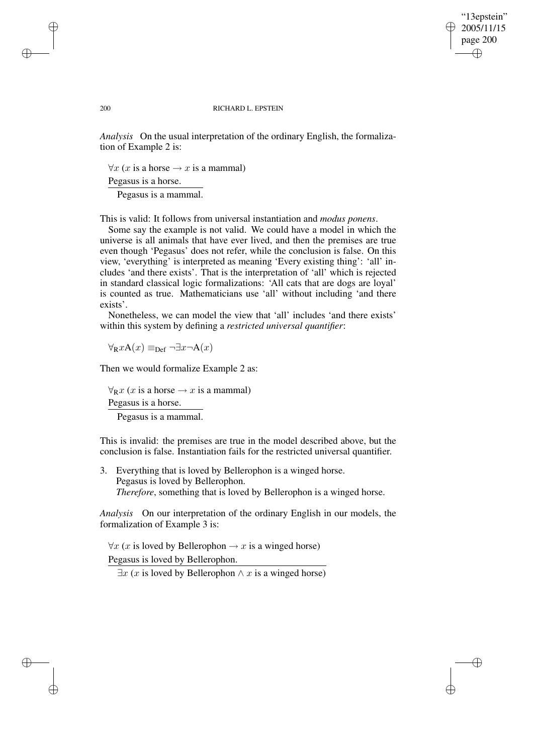"13epstein" 2005/11/15 page 200 ✐ ✐

✐

✐

#### 200 RICHARD L. EPSTEIN

*Analysis* On the usual interpretation of the ordinary English, the formalization of Example 2 is:

 $\forall x$  (x is a horse  $\rightarrow x$  is a mammal)

Pegasus is a horse.

Pegasus is a mammal.

This is valid: It follows from universal instantiation and *modus ponens*.

Some say the example is not valid. We could have a model in which the universe is all animals that have ever lived, and then the premises are true even though 'Pegasus' does not refer, while the conclusion is false. On this view, 'everything' is interpreted as meaning 'Every existing thing': 'all' includes 'and there exists'. That is the interpretation of 'all' which is rejected in standard classical logic formalizations: 'All cats that are dogs are loyal' is counted as true. Mathematicians use 'all' without including 'and there exists'.

Nonetheless, we can model the view that 'all' includes 'and there exists' within this system by defining a *restricted universal quantifier*:

 $\forall_{\mathbf{R}} x \mathbf{A}(x) \equiv_{\text{Def}} \neg \exists x \neg \mathbf{A}(x)$ 

Then we would formalize Example 2 as:

 $\forall_{\mathbb{R}} x$  (x is a horse  $\rightarrow x$  is a mammal) Pegasus is a horse. Pegasus is a mammal.

This is invalid: the premises are true in the model described above, but the conclusion is false. Instantiation fails for the restricted universal quantifier.

3. Everything that is loved by Bellerophon is a winged horse. Pegasus is loved by Bellerophon. *Therefore*, something that is loved by Bellerophon is a winged horse.

*Analysis* On our interpretation of the ordinary English in our models, the formalization of Example 3 is:

 $\forall x$  (x is loved by Bellerophon  $\rightarrow x$  is a winged horse) Pegasus is loved by Bellerophon.

 $\exists x (x \text{ is loved by Bellerophon} \land x \text{ is a winged horse})$ 

✐

✐

✐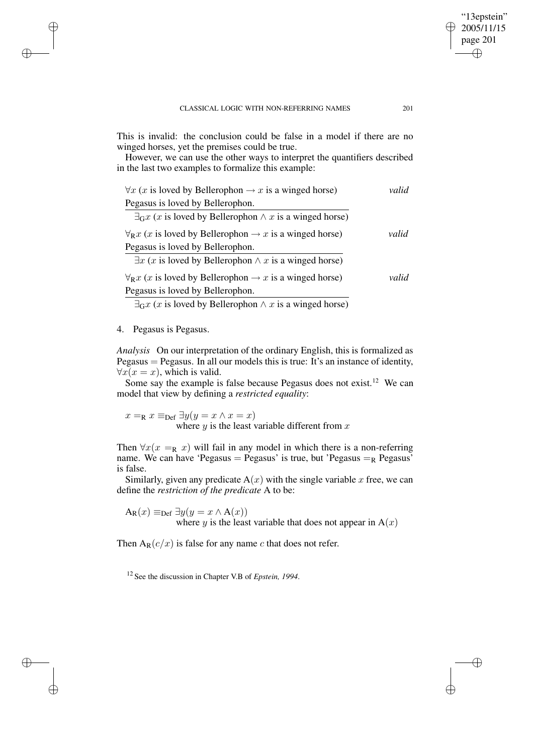This is invalid: the conclusion could be false in a model if there are no winged horses, yet the premises could be true.

However, we can use the other ways to interpret the quantifiers described in the last two examples to formalize this example:

| $\forall x$ (x is loved by Bellerophon $\rightarrow x$ is a winged horse)              | valid |
|----------------------------------------------------------------------------------------|-------|
| Pegasus is loved by Bellerophon.                                                       |       |
| $\exists_{\mathbf{G}} x$ (x is loved by Bellerophon $\wedge x$ is a winged horse)      |       |
| $\forall_{\mathbf{R}} x$ (x is loved by Bellerophon $\rightarrow x$ is a winged horse) | valid |
| Pegasus is loved by Bellerophon.                                                       |       |
| $\exists x$ (x is loved by Bellerophon $\wedge x$ is a winged horse)                   |       |
| $\forall_{\mathbf{R}} x$ (x is loved by Bellerophon $\rightarrow x$ is a winged horse) | valid |
| Pegasus is loved by Bellerophon.                                                       |       |
| $\exists_{\mathbf{G}} x$ (x is loved by Bellerophon $\wedge x$ is a winged horse)      |       |

### 4. Pegasus is Pegasus.

✐

✐

✐

✐

*Analysis* On our interpretation of the ordinary English, this is formalized as Pegasus = Pegasus. In all our models this is true: It's an instance of identity,  $\forall x(x=x)$ , which is valid.

Some say the example is false because Pegasus does not exist.<sup>12</sup> We can model that view by defining a *restricted equality*:

 $x =_{\text{R}} x \equiv_{\text{Def}} \exists y (y = x \land x = x)$ where  $y$  is the least variable different from  $x$ 

Then  $\forall x (x =_{\mathbb{R}} x)$  will fail in any model in which there is a non-referring name. We can have 'Pegasus = Pegasus' is true, but 'Pegasus =  $_R$  Pegasus' is false.

Similarly, given any predicate  $A(x)$  with the single variable x free, we can define the *restriction of the predicate* A to be:

 $A_{\mathbb{R}}(x) \equiv_{\text{Def}} \exists y (y = x \land A(x))$ where y is the least variable that does not appear in  $A(x)$ 

Then  $A_R(c/x)$  is false for any name c that does not refer.

<sup>12</sup> See the discussion in Chapter V.B of *Epstein, 1994*.

"13epstein" 2005/11/15 page 201

✐

✐

✐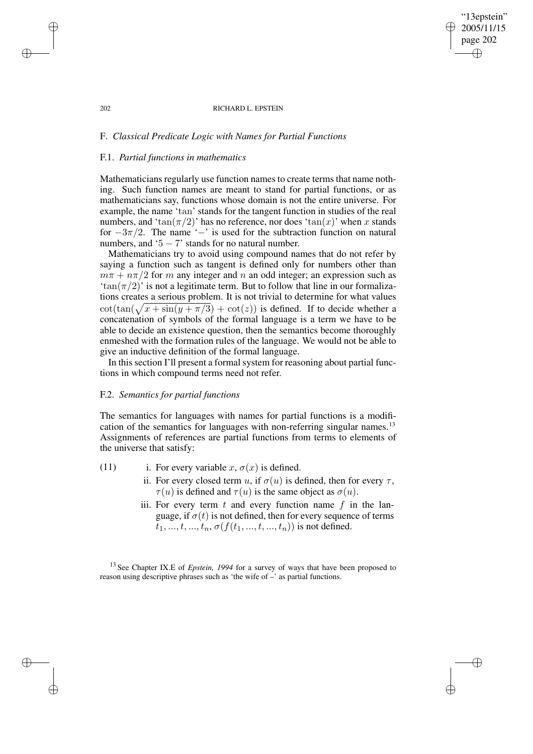#### 202 RICHARD L. EPSTEIN

"13epstein" 2005/11/15 page 202

✐

✐

✐

✐

# F. *Classical Predicate Logic with Names for Partial Functions*

## F.1. *Partial functions in mathematics*

Mathematicians regularly use function names to create terms that name nothing. Such function names are meant to stand for partial functions, or as mathematicians say, functions whose domain is not the entire universe. For example, the name 'tan' stands for the tangent function in studies of the real numbers, and 'tan( $\pi/2$ )' has no reference, nor does 'tan(x)' when x stands for  $-3\pi/2$ . The name ' $-$ ' is used for the subtraction function on natural numbers, and  $5 - 7$ ' stands for no natural number.

Mathematicians try to avoid using compound names that do not refer by saying a function such as tangent is defined only for numbers other than  $m\pi + n\pi/2$  for m any integer and n an odd integer; an expression such as 'tan( $\pi/2$ )' is not a legitimate term. But to follow that line in our formalizations creates a serious problem. It is not trivial to determine for what values  $\cot(\tan(\sqrt{x} + \sin(y + \pi/3) + \cot(z))$  is defined. If to decide whether a concatenation of symbols of the formal language is a term we have to be able to decide an existence question, then the semantics become thoroughly enmeshed with the formation rules of the language. We would not be able to give an inductive definition of the formal language.

In this section I'll present a formal system for reasoning about partial functions in which compound terms need not refer.

## F.2. *Semantics for partial functions*

The semantics for languages with names for partial functions is a modification of the semantics for languages with non-referring singular names.<sup>13</sup> Assignments of references are partial functions from terms to elements of the universe that satisfy:

- (11) i. For every variable x,  $\sigma(x)$  is defined.
	- ii. For every closed term u, if  $\sigma(u)$  is defined, then for every  $\tau$ ,  $\tau(u)$  is defined and  $\tau(u)$  is the same object as  $\sigma(u)$ .
	- iii. For every term  $t$  and every function name  $f$  in the language, if  $\sigma(t)$  is not defined, then for every sequence of terms  $t_1, ..., t_n, ..., t_n, \sigma(f(t_1, ..., t_n, ..., t_n))$  is not defined.

<sup>13</sup> See Chapter IX.E of *Epstein, 1994* for a survey of ways that have been proposed to reason using descriptive phrases such as 'the wife of –' as partial functions.

✐

✐

✐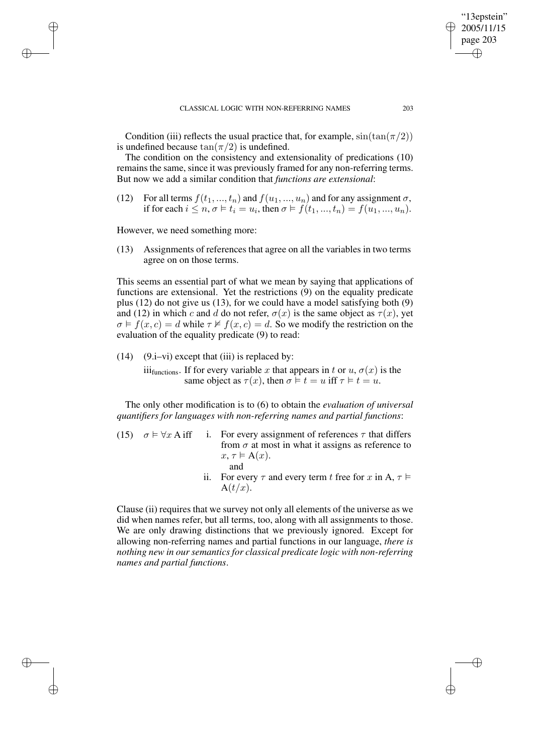Condition (iii) reflects the usual practice that, for example,  $sin(tan(\pi/2))$ is undefined because  $tan(\pi/2)$  is undefined.

The condition on the consistency and extensionality of predications (10) remainsthe same, since it was previously framed for any non-referring terms. But now we add a similar condition that *functions are extensional*:

(12) For all terms  $f(t_1, ..., t_n)$  and  $f(u_1, ..., u_n)$  and for any assignment  $\sigma$ , if for each  $i \le n, \sigma \vDash t_i = u_i$ , then  $\sigma \vDash f(t_1, ..., t_n) = f(u_1, ..., u_n)$ .

However, we need something more:

✐

✐

✐

✐

(13) Assignments of references that agree on all the variables in two terms agree on on those terms.

This seems an essential part of what we mean by saying that applications of functions are extensional. Yet the restrictions (9) on the equality predicate plus (12) do not give us (13), for we could have a model satisfying both (9) and (12) in which c and d do not refer,  $\sigma(x)$  is the same object as  $\tau(x)$ , yet  $\sigma \models f(x, c) = d$  while  $\tau \not\vDash f(x, c) = d$ . So we modify the restriction on the evaluation of the equality predicate (9) to read:

 $(14)$   $(9.i-vi)$  except that (iii) is replaced by:

iii<sub>functions</sub>. If for every variable x that appears in t or  $u, \sigma(x)$  is the same object as  $\tau(x)$ , then  $\sigma \models t = u$  iff  $\tau \models t = u$ .

The only other modification is to (6) to obtain the *evaluation of universal quantifiers for languages with non-referring names and partial functions*:

- (15)  $\sigma \models \forall x \text{ A iff } i$ . For every assignment of references  $\tau$  that differs from  $\sigma$  at most in what it assigns as reference to  $x, \tau \models A(x)$ . and
	- ii. For every  $\tau$  and every term t free for x in A,  $\tau \models$  $A(t/x)$ .

Clause (ii) requires that we survey not only all elements of the universe as we did when names refer, but all terms, too, along with all assignments to those. We are only drawing distinctions that we previously ignored. Except for allowing non-referring names and partial functions in our language, *there is nothing new in our semantics for classical predicate logic with non-referring names and partial functions*.

"13epstein" 2005/11/15 page 203

✐

✐

✐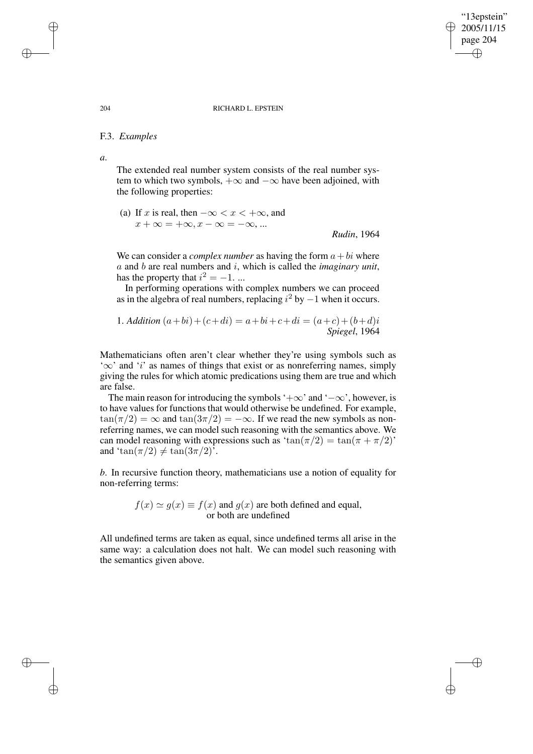#### 204 RICHARD L. EPSTEIN

"13epstein" 2005/11/15 page 204

✐

✐

✐

✐

## F.3. *Examples*

*a*.

The extended real number system consists of the real number system to which two symbols,  $+\infty$  and  $-\infty$  have been adjoined, with the following properties:

(a) If x is real, then  $-\infty < x < +\infty$ , and  $x + \infty = +\infty, x - \infty = -\infty, ...$ *Rudin*, 1964

We can consider a *complex number* as having the form  $a + bi$  where a and b are real numbers and i, which is called the *imaginary unit*, has the property that  $i^2 = -1$ . ...

In performing operations with complex numbers we can proceed as in the algebra of real numbers, replacing  $i^2$  by  $-1$  when it occurs.

1. Addition 
$$
(a+bi)+(c+di) = a+bi+c+di = (a+c)+(b+d)i
$$
  
Spiegel, 1964

Mathematicians often aren't clear whether they're using symbols such as '∞' and 'i' as names of things that exist or as nonreferring names, simply giving the rules for which atomic predications using them are true and which are false.

The main reason for introducing the symbols '+ $\infty$ ' and ' $-\infty$ ', however, is to have values for functions that would otherwise be undefined. For example,  $\tan(\pi/2) = \infty$  and  $\tan(3\pi/2) = -\infty$ . If we read the new symbols as nonreferring names, we can model such reasoning with the semantics above. We can model reasoning with expressions such as  $tan(\pi/2) = tan(\pi + \pi/2)$ ' and 'tan( $\pi/2$ )  $\neq$  tan( $3\pi/2$ )'.

*b*. In recursive function theory, mathematicians use a notion of equality for non-referring terms:

> $f(x) \simeq q(x) \equiv f(x)$  and  $q(x)$  are both defined and equal, or both are undefined

All undefined terms are taken as equal, since undefined terms all arise in the same way: a calculation does not halt. We can model such reasoning with the semantics given above.

✐

✐

✐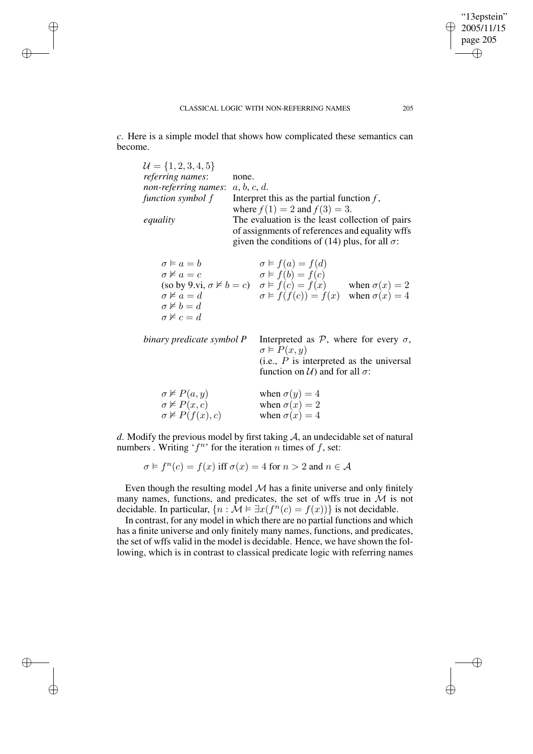✐

✐

✐

✐

*c*. Here is a simple model that shows how complicated these semantics can become.

| $\mathcal{U} = \{1, 2, 3, 4, 5\}$<br>referring names:<br>non-referring names:<br>function symbol f<br>equality                           | none.<br>a, b, c, d.<br>Interpret this as the partial function $f$ ,<br>where $f(1) = 2$ and $f(3) = 3$ .<br>The evaluation is the least collection of pairs<br>of assignments of references and equality wffs<br>given the conditions of (14) plus, for all $\sigma$ : |  |
|------------------------------------------------------------------------------------------------------------------------------------------|-------------------------------------------------------------------------------------------------------------------------------------------------------------------------------------------------------------------------------------------------------------------------|--|
| $\sigma \vDash a = b$<br>$\sigma \not\vDash a = c$<br>$\sigma \not\vDash a = d$<br>$\sigma \not\models b=d$<br>$\sigma \not\vDash c = d$ | $\sigma \models f(a) = f(d)$<br>$\sigma \models f(b) = f(c)$<br>(so by 9.vi, $\sigma \nvDash b = c$ ) $\sigma \vDash f(c) = f(x)$ when $\sigma(x) = 2$<br>$\sigma \models f(f(c)) = f(x)$ when $\sigma(x) = 4$                                                          |  |
| binary predicate symbol P                                                                                                                | Interpreted as $P$ , where for every $\sigma$ ,<br>$\sigma \models P(x,y)$<br>(i.e., $P$ is interpreted as the universal<br>function on $U$ ) and for all $\sigma$ :                                                                                                    |  |
| $\sigma \nvDash P(a, y)$<br>$\sigma \nvDash P(x,c)$<br>$\sigma \nvDash P(f(x), c)$                                                       | when $\sigma(y) = 4$<br>when $\sigma(x) = 2$<br>when $\sigma(x) = 4$                                                                                                                                                                                                    |  |

*d*. Modify the previous model by first taking A, an undecidable set of natural numbers. Writing ' $f^n$ ' for the iteration n times of f, set:

 $\sigma \models f^n(c) = f(x)$  iff  $\sigma(x) = 4$  for  $n > 2$  and  $n \in \mathcal{A}$ 

Even though the resulting model  $M$  has a finite universe and only finitely many names, functions, and predicates, the set of wffs true in  $\mathcal M$  is not decidable. In particular,  $\{n : \mathcal{M} \models \exists x(f^n(c) = f(x))\}$  is not decidable.

In contrast, for any model in which there are no partial functions and which has a finite universe and only finitely many names, functions, and predicates, the set of wffs valid in the model is decidable. Hence, we have shown the following, which is in contrast to classical predicate logic with referring names

"13epstein"  $\geq 2005/11/15$ page 205

✐

 $\bigoplus$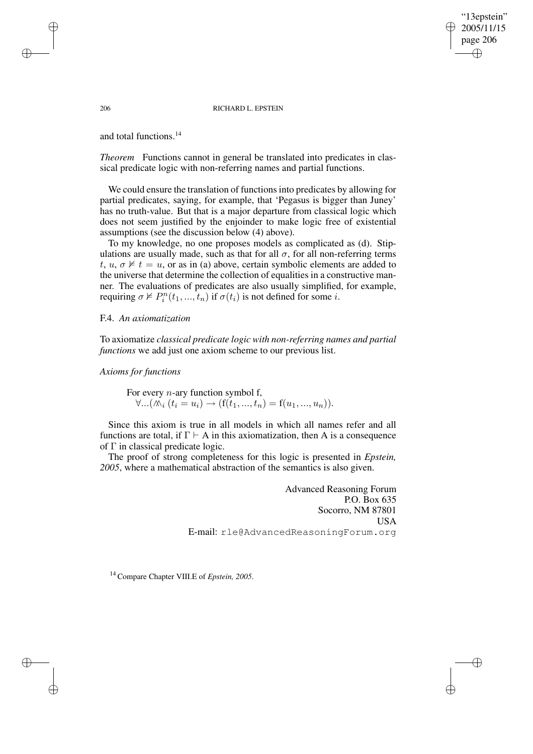"13epstein" 2005/11/15 page 206 ✐ ✐

✐

✐

#### 206 RICHARD L. EPSTEIN

and total functions.<sup>14</sup>

*Theorem* Functions cannot in general be translated into predicates in classical predicate logic with non-referring names and partial functions.

We could ensure the translation of functions into predicates by allowing for partial predicates, saying, for example, that 'Pegasus is bigger than Juney' has no truth-value. But that is a major departure from classical logic which does not seem justified by the enjoinder to make logic free of existential assumptions (see the discussion below (4) above).

To my knowledge, no one proposes models as complicated as (d). Stipulations are usually made, such as that for all  $\sigma$ , for all non-referring terms t,  $u, \sigma \not\vDash t = u$ , or as in (a) above, certain symbolic elements are added to the universe that determine the collection of equalities in a constructive manner. The evaluations of predicates are also usually simplified, for example, requiring  $\sigma \nvDash P_i^n(t_1, ..., t_n)$  if  $\sigma(t_i)$  is not defined for some *i*.

F.4. *An axiomatization*

To axiomatize *classical predicate logic with non-referring names and partial functions* we add just one axiom scheme to our previous list.

*Axioms for functions*

For every  $n$ -ary function symbol f,  $\forall ... (\mathcal{N}_i (t_i = u_i) \rightarrow (f(t_1, ..., t_n) = f(u_1, ..., u_n)).$ 

Since this axiom is true in all models in which all names refer and all functions are total, if  $\Gamma \vdash A$  in this axiomatization, then A is a consequence of Γ in classical predicate logic.

The proof of strong completeness for this logic is presented in *Epstein, 2005*, where a mathematical abstraction of the semantics is also given.

> Advanced Reasoning Forum P.O. Box 635 Socorro, NM 87801 USA E-mail: rle@AdvancedReasoningForum.org

<sup>14</sup> Compare Chapter VIII.E of *Epstein, 2005*.

✐

✐

✐